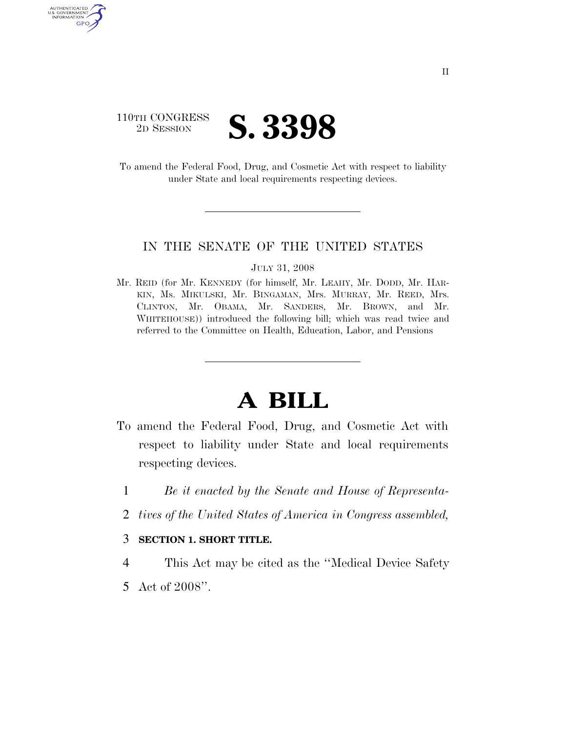

AUTHENTICATED U.S. GOVERNMENT GPO

> To amend the Federal Food, Drug, and Cosmetic Act with respect to liability under State and local requirements respecting devices.

## IN THE SENATE OF THE UNITED STATES

JULY 31, 2008

Mr. REID (for Mr. KENNEDY (for himself, Mr. LEAHY, Mr. DODD, Mr. HAR-KIN, Ms. MIKULSKI, Mr. BINGAMAN, Mrs. MURRAY, Mr. REED, Mrs. CLINTON, Mr. OBAMA, Mr. SANDERS, Mr. BROWN, and Mr. WHITEHOUSE)) introduced the following bill; which was read twice and referred to the Committee on Health, Education, Labor, and Pensions

## **A BILL**

- To amend the Federal Food, Drug, and Cosmetic Act with respect to liability under State and local requirements respecting devices.
	- 1 *Be it enacted by the Senate and House of Representa-*
	- 2 *tives of the United States of America in Congress assembled,*

## 3 **SECTION 1. SHORT TITLE.**

- 4 This Act may be cited as the ''Medical Device Safety
- 5 Act of 2008''.